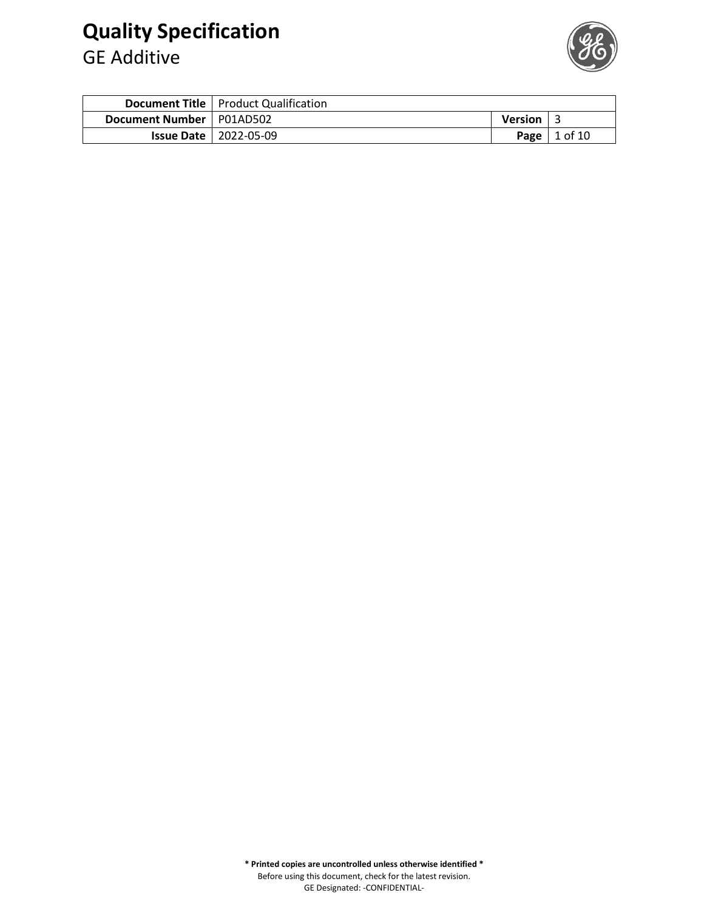## **Quality Specification**

GE Additive



|                            | <b>Document Title   Product Qualification</b> |                  |           |
|----------------------------|-----------------------------------------------|------------------|-----------|
| Document Number   P01AD502 |                                               | <b>Version</b> L |           |
|                            | <b>Issue Date   2022-05-09</b>                | <b>Page</b>      | l 1 of 10 |

**\* Printed copies are uncontrolled unless otherwise identified \*** Before using this document, check for the latest revision. GE Designated: -CONFIDENTIAL-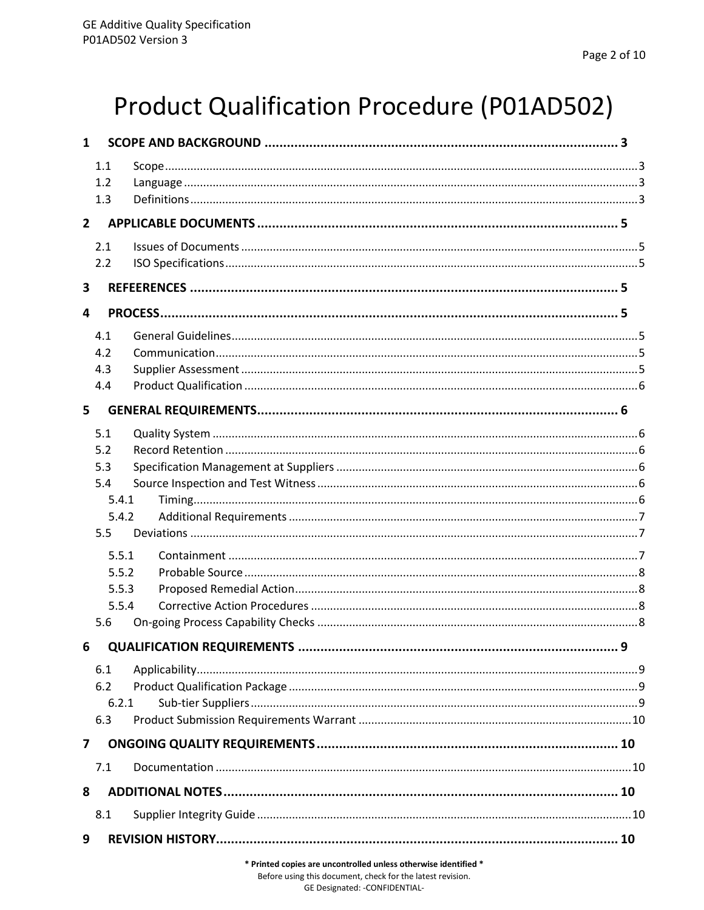# Product Qualification Procedure (P01AD502)

| $\mathbf{1}$ |       |   |  |  |
|--------------|-------|---|--|--|
|              | 1.1   |   |  |  |
|              | 1.2   |   |  |  |
|              | 1.3   |   |  |  |
| $2^{\circ}$  |       |   |  |  |
|              | 2.1   |   |  |  |
|              | 2.2   |   |  |  |
| 3            |       |   |  |  |
| 4            |       |   |  |  |
|              | 4.1   |   |  |  |
|              | 4.2   |   |  |  |
|              | 4.3   |   |  |  |
|              | 4.4   |   |  |  |
| 5            |       |   |  |  |
|              | 5.1   |   |  |  |
|              | 5.2   |   |  |  |
|              | 5.3   |   |  |  |
|              | 5.4   |   |  |  |
|              | 5.4.1 |   |  |  |
|              | 5.4.2 |   |  |  |
|              | 5.5   |   |  |  |
|              | 5.5.1 |   |  |  |
|              | 5.5.2 |   |  |  |
|              | 5.5.3 |   |  |  |
|              | 5.5.4 |   |  |  |
|              | 5.6   |   |  |  |
|              |       | 9 |  |  |
|              | 6.1   |   |  |  |
|              | 6.2   |   |  |  |
|              | 6.2.1 |   |  |  |
|              | 6.3   |   |  |  |
| 7            |       |   |  |  |
|              | 7.1   |   |  |  |
| 8            |       |   |  |  |
|              | 8.1   |   |  |  |
| 9            |       |   |  |  |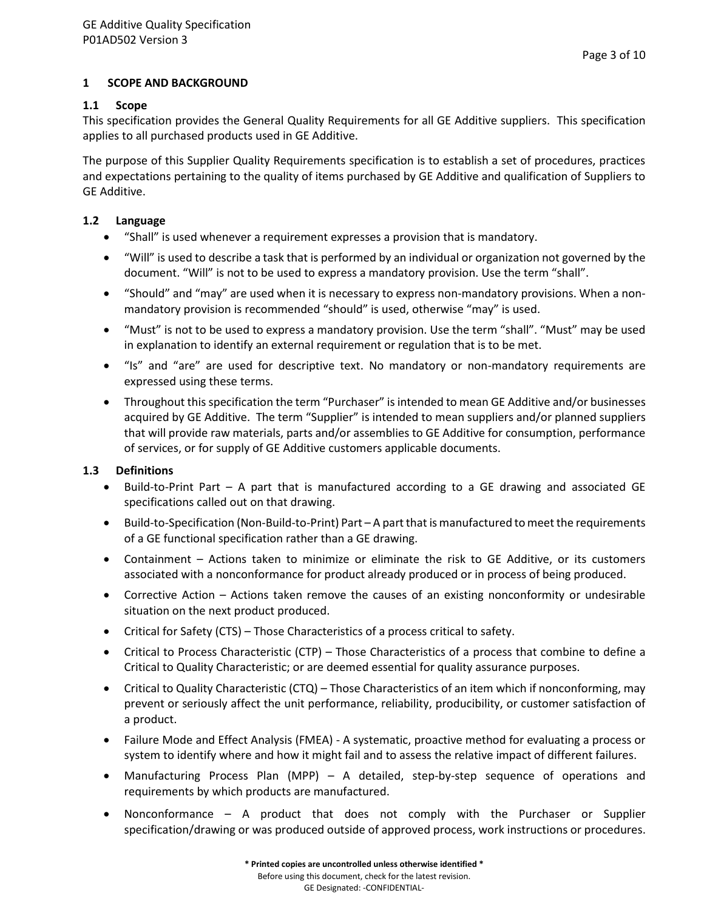## <span id="page-2-0"></span>**1 SCOPE AND BACKGROUND**

#### <span id="page-2-1"></span>**1.1 Scope**

This specification provides the General Quality Requirements for all GE Additive suppliers. This specification applies to all purchased products used in GE Additive.

The purpose of this Supplier Quality Requirements specification is to establish a set of procedures, practices and expectations pertaining to the quality of items purchased by GE Additive and qualification of Suppliers to GE Additive.

#### <span id="page-2-2"></span>**1.2 Language**

- "Shall" is used whenever a requirement expresses a provision that is mandatory.
- "Will" is used to describe a task that is performed by an individual or organization not governed by the document. "Will" is not to be used to express a mandatory provision. Use the term "shall".
- "Should" and "may" are used when it is necessary to express non-mandatory provisions. When a nonmandatory provision is recommended "should" is used, otherwise "may" is used.
- "Must" is not to be used to express a mandatory provision. Use the term "shall". "Must" may be used in explanation to identify an external requirement or regulation that is to be met.
- "Is" and "are" are used for descriptive text. No mandatory or non-mandatory requirements are expressed using these terms.
- Throughout this specification the term "Purchaser" is intended to mean GE Additive and/or businesses acquired by GE Additive. The term "Supplier" is intended to mean suppliers and/or planned suppliers that will provide raw materials, parts and/or assemblies to GE Additive for consumption, performance of services, or for supply of GE Additive customers applicable documents.

## <span id="page-2-3"></span>**1.3 Definitions**

- Build-to-Print Part A part that is manufactured according to a GE drawing and associated GE specifications called out on that drawing.
- Build-to-Specification (Non-Build-to-Print) Part A part that is manufactured to meet the requirements of a GE functional specification rather than a GE drawing.
- Containment Actions taken to minimize or eliminate the risk to GE Additive, or its customers associated with a nonconformance for product already produced or in process of being produced.
- Corrective Action Actions taken remove the causes of an existing nonconformity or undesirable situation on the next product produced.
- Critical for Safety (CTS) Those Characteristics of a process critical to safety.
- Critical to Process Characteristic (CTP) Those Characteristics of a process that combine to define a Critical to Quality Characteristic; or are deemed essential for quality assurance purposes.
- Critical to Quality Characteristic (CTQ) Those Characteristics of an item which if nonconforming, may prevent or seriously affect the unit performance, reliability, producibility, or customer satisfaction of a product.
- Failure Mode and Effect Analysis (FMEA) A systematic, proactive method for evaluating a process or system to identify where and how it might fail and to assess the relative impact of different failures.
- Manufacturing Process Plan (MPP) A detailed, step-by-step sequence of operations and requirements by which products are manufactured.
- Nonconformance A product that does not comply with the Purchaser or Supplier specification/drawing or was produced outside of approved process, work instructions or procedures.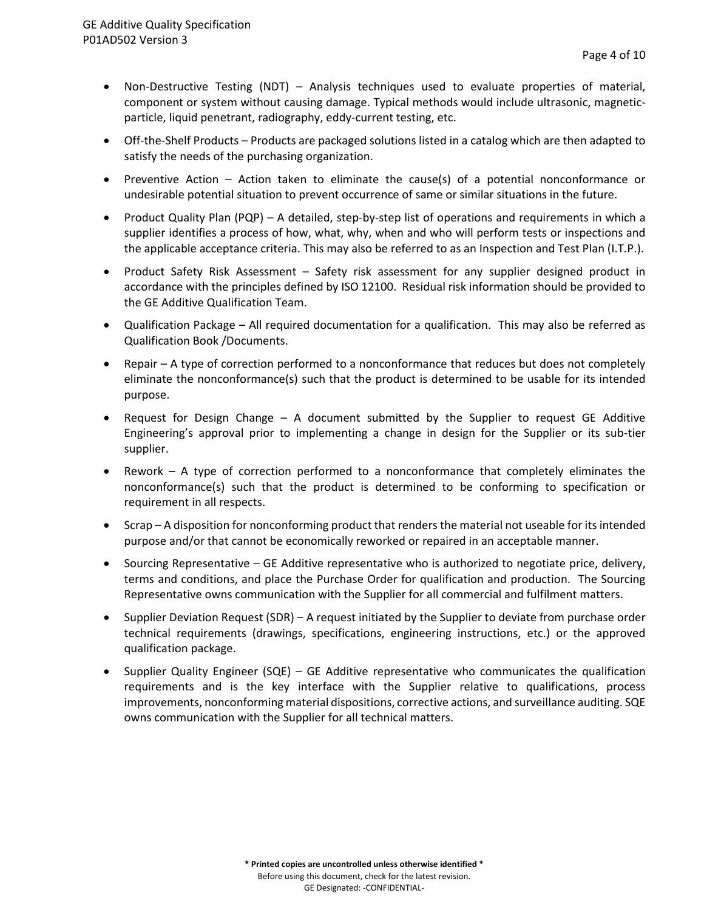- Non-Destructive Testing (NDT) Analysis techniques used to evaluate properties of material, component or system without causing damage. Typical methods would include ultrasonic, magneticparticle, liquid penetrant, radiography, eddy-current testing, etc.
- Off-the-Shelf Products Products are packaged solutions listed in a catalog which are then adapted to satisfy the needs of the purchasing organization.
- Preventive Action Action taken to eliminate the cause(s) of a potential nonconformance or undesirable potential situation to prevent occurrence of same or similar situations in the future.
- Product Quality Plan (PQP) A detailed, step-by-step list of operations and requirements in which a supplier identifies a process of how, what, why, when and who will perform tests or inspections and the applicable acceptance criteria. This may also be referred to as an Inspection and Test Plan (I.T.P.).
- Product Safety Risk Assessment Safety risk assessment for any supplier designed product in accordance with the principles defined by ISO 12100. Residual risk information should be provided to the GE Additive Qualification Team.
- Qualification Package All required documentation for a qualification. This may also be referred as Qualification Book /Documents.
- Repair A type of correction performed to a nonconformance that reduces but does not completely eliminate the nonconformance(s) such that the product is determined to be usable for its intended purpose.
- Request for Design Change A document submitted by the Supplier to request GE Additive Engineering's approval prior to implementing a change in design for the Supplier or its sub-tier supplier.
- Rework A type of correction performed to a nonconformance that completely eliminates the nonconformance(s) such that the product is determined to be conforming to specification or requirement in all respects.
- Scrap A disposition for nonconforming product that renders the material not useable for its intended purpose and/or that cannot be economically reworked or repaired in an acceptable manner.
- Sourcing Representative GE Additive representative who is authorized to negotiate price, delivery, terms and conditions, and place the Purchase Order for qualification and production. The Sourcing Representative owns communication with the Supplier for all commercial and fulfilment matters.
- Supplier Deviation Request (SDR) A request initiated by the Supplier to deviate from purchase order technical requirements (drawings, specifications, engineering instructions, etc.) or the approved qualification package.
- Supplier Quality Engineer (SQE) GE Additive representative who communicates the qualification requirements and is the key interface with the Supplier relative to qualifications, process improvements, nonconforming material dispositions, corrective actions, and surveillance auditing. SQE owns communication with the Supplier for all technical matters.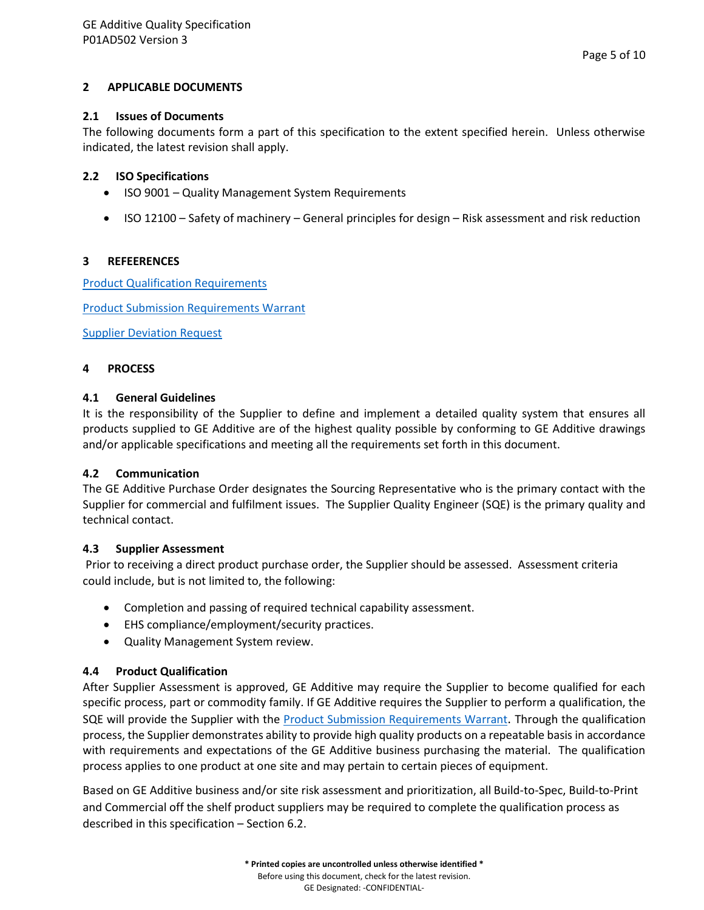#### <span id="page-4-0"></span>**2 APPLICABLE DOCUMENTS**

#### <span id="page-4-1"></span>**2.1 Issues of Documents**

The following documents form a part of this specification to the extent specified herein. Unless otherwise indicated, the latest revision shall apply.

#### <span id="page-4-2"></span>**2.2 ISO Specifications**

- ISO 9001 Quality Management System Requirements
- ISO 12100 Safety of machinery General principles for design Risk assessment and risk reduction

#### <span id="page-4-3"></span>**3 REFEERENCES**

**[Product Qualification Requirements](https://www.ge.com/additive/sites/default/files/2022-05/Product%20Qualification%20Requirements.pdf)** 

[Product Submission Requirements Warrant](https://www.ge.com/additive/sites/default/files/2022-05/Product%20Submission%20Requirements%20Warrant.pdf)

[Supplier Deviation Request](https://www.ge.com/additive/sites/default/files/2022-05/Supplier%20Deviation%20Request.pdf)

#### <span id="page-4-4"></span>**4 PROCESS**

## <span id="page-4-5"></span>**4.1 General Guidelines**

It is the responsibility of the Supplier to define and implement a detailed quality system that ensures all products supplied to GE Additive are of the highest quality possible by conforming to GE Additive drawings and/or applicable specifications and meeting all the requirements set forth in this document.

#### <span id="page-4-6"></span>**4.2 Communication**

The GE Additive Purchase Order designates the Sourcing Representative who is the primary contact with the Supplier for commercial and fulfilment issues. The Supplier Quality Engineer (SQE) is the primary quality and technical contact.

#### <span id="page-4-7"></span>**4.3 Supplier Assessment**

Prior to receiving a direct product purchase order, the Supplier should be assessed. Assessment criteria could include, but is not limited to, the following:

- Completion and passing of required technical capability assessment.
- EHS compliance/employment/security practices.
- Quality Management System review.

#### <span id="page-4-8"></span>**4.4 Product Qualification**

After Supplier Assessment is approved, GE Additive may require the Supplier to become qualified for each specific process, part or commodity family. If GE Additive requires the Supplier to perform a qualification, the SQE will provide the Supplier with the [Product Submission Requirements Warrant](https://www.ge.com/additive/sites/default/files/2022-05/Product%20Submission%20Requirements%20Warrant.pdf). Through the qualification process, the Supplier demonstrates ability to provide high quality products on a repeatable basis in accordance with requirements and expectations of the GE Additive business purchasing the material. The qualification process applies to one product at one site and may pertain to certain pieces of equipment.

Based on GE Additive business and/or site risk assessment and prioritization, all Build-to-Spec, Build-to-Print and Commercial off the shelf product suppliers may be required to complete the qualification process as described in this specification – Section 6.2.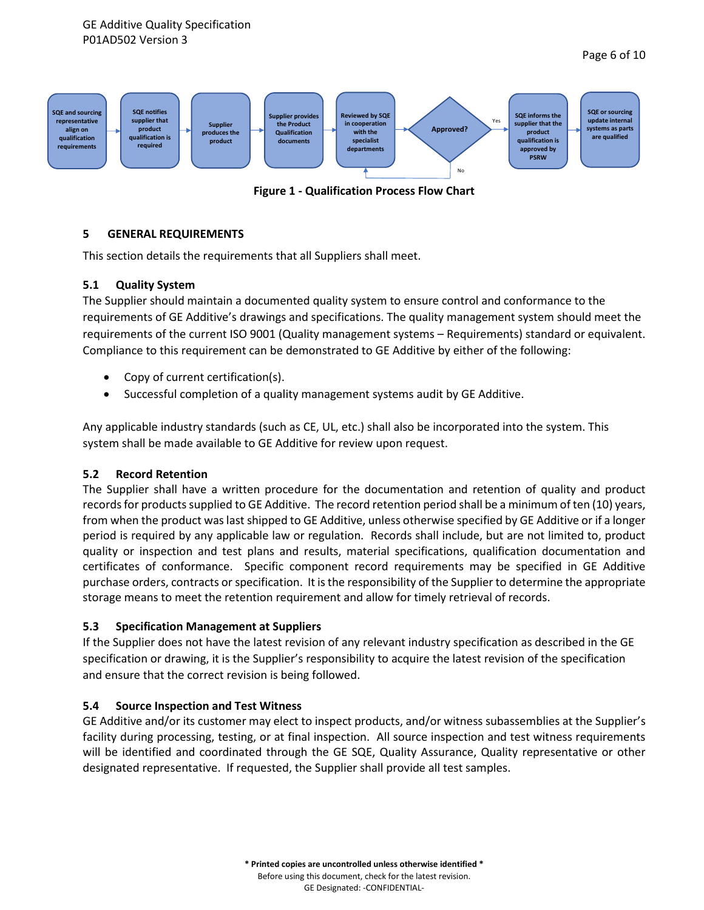

**Figure 1 - Qualification Process Flow Chart**

#### <span id="page-5-0"></span>**5 GENERAL REQUIREMENTS**

This section details the requirements that all Suppliers shall meet.

#### <span id="page-5-1"></span>**5.1 Quality System**

The Supplier should maintain a documented quality system to ensure control and conformance to the requirements of GE Additive's drawings and specifications. The quality management system should meet the requirements of the current ISO 9001 (Quality management systems – Requirements) standard or equivalent. Compliance to this requirement can be demonstrated to GE Additive by either of the following:

- Copy of current certification(s).
- Successful completion of a quality management systems audit by GE Additive.

Any applicable industry standards (such as CE, UL, etc.) shall also be incorporated into the system. This system shall be made available to GE Additive for review upon request.

#### <span id="page-5-2"></span>**5.2 Record Retention**

The Supplier shall have a written procedure for the documentation and retention of quality and product records for products supplied to GE Additive. The record retention period shall be a minimum of ten (10) years, from when the product was last shipped to GE Additive, unless otherwise specified by GE Additive or if a longer period is required by any applicable law or regulation. Records shall include, but are not limited to, product quality or inspection and test plans and results, material specifications, qualification documentation and certificates of conformance. Specific component record requirements may be specified in GE Additive purchase orders, contracts or specification. It is the responsibility of the Supplier to determine the appropriate storage means to meet the retention requirement and allow for timely retrieval of records.

#### <span id="page-5-3"></span>**5.3 Specification Management at Suppliers**

If the Supplier does not have the latest revision of any relevant industry specification as described in the GE specification or drawing, it is the Supplier's responsibility to acquire the latest revision of the specification and ensure that the correct revision is being followed.

#### <span id="page-5-4"></span>**5.4 Source Inspection and Test Witness**

GE Additive and/or its customer may elect to inspect products, and/or witness subassemblies at the Supplier's facility during processing, testing, or at final inspection. All source inspection and test witness requirements will be identified and coordinated through the GE SQE, Quality Assurance, Quality representative or other designated representative. If requested, the Supplier shall provide all test samples.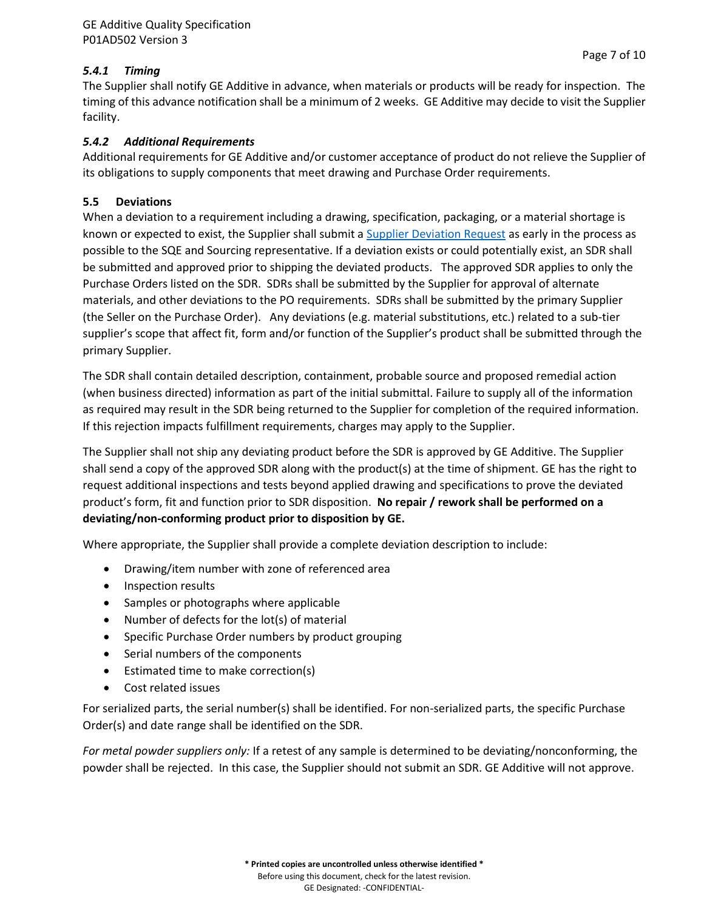<span id="page-6-0"></span>The Supplier shall notify GE Additive in advance, when materials or products will be ready for inspection. The timing of this advance notification shall be a minimum of 2 weeks. GE Additive may decide to visit the Supplier facility.

## <span id="page-6-1"></span>*5.4.2 Additional Requirements*

Additional requirements for GE Additive and/or customer acceptance of product do not relieve the Supplier of its obligations to supply components that meet drawing and Purchase Order requirements.

## <span id="page-6-2"></span>**5.5 Deviations**

When a deviation to a requirement including a drawing, specification, packaging, or a material shortage is known or expected to exist, the Supplier shall submit a [Supplier Deviation Request](https://www.ge.com/additive/sites/default/files/2022-05/Supplier%20Deviation%20Request.pdf) as early in the process as possible to the SQE and Sourcing representative. If a deviation exists or could potentially exist, an SDR shall be submitted and approved prior to shipping the deviated products. The approved SDR applies to only the Purchase Orders listed on the SDR. SDRs shall be submitted by the Supplier for approval of alternate materials, and other deviations to the PO requirements. SDRs shall be submitted by the primary Supplier (the Seller on the Purchase Order). Any deviations (e.g. material substitutions, etc.) related to a sub-tier supplier's scope that affect fit, form and/or function of the Supplier's product shall be submitted through the primary Supplier.

The SDR shall contain detailed description, containment, probable source and proposed remedial action (when business directed) information as part of the initial submittal. Failure to supply all of the information as required may result in the SDR being returned to the Supplier for completion of the required information. If this rejection impacts fulfillment requirements, charges may apply to the Supplier.

The Supplier shall not ship any deviating product before the SDR is approved by GE Additive. The Supplier shall send a copy of the approved SDR along with the product(s) at the time of shipment. GE has the right to request additional inspections and tests beyond applied drawing and specifications to prove the deviated product's form, fit and function prior to SDR disposition. **No repair / rework shall be performed on a deviating/non-conforming product prior to disposition by GE.**

Where appropriate, the Supplier shall provide a complete deviation description to include:

- Drawing/item number with zone of referenced area
- Inspection results
- Samples or photographs where applicable
- Number of defects for the lot(s) of material
- Specific Purchase Order numbers by product grouping
- Serial numbers of the components
- Estimated time to make correction(s)
- Cost related issues

For serialized parts, the serial number(s) shall be identified. For non-serialized parts, the specific Purchase Order(s) and date range shall be identified on the SDR.

*For metal powder suppliers only:* If a retest of any sample is determined to be deviating/nonconforming, the powder shall be rejected. In this case, the Supplier should not submit an SDR. GE Additive will not approve.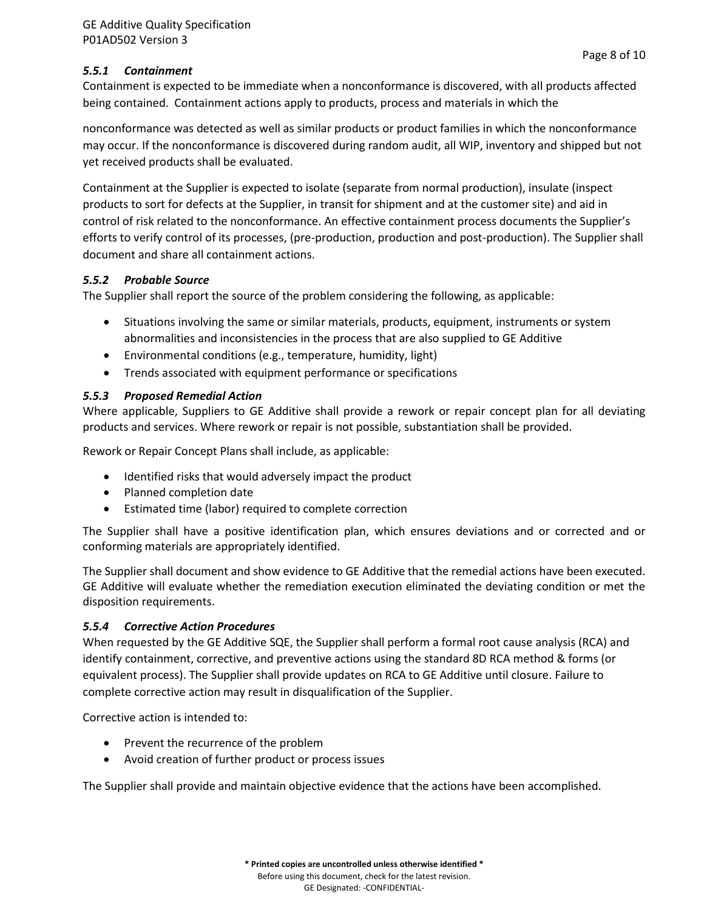Page 8 of 10

<span id="page-7-0"></span>Containment is expected to be immediate when a nonconformance is discovered, with all products affected being contained. Containment actions apply to products, process and materials in which the

nonconformance was detected as well as similar products or product families in which the nonconformance may occur. If the nonconformance is discovered during random audit, all WIP, inventory and shipped but not yet received products shall be evaluated.

Containment at the Supplier is expected to isolate (separate from normal production), insulate (inspect products to sort for defects at the Supplier, in transit for shipment and at the customer site) and aid in control of risk related to the nonconformance. An effective containment process documents the Supplier's efforts to verify control of its processes, (pre-production, production and post-production). The Supplier shall document and share all containment actions.

## <span id="page-7-1"></span>*5.5.2 Probable Source*

The Supplier shall report the source of the problem considering the following, as applicable:

- Situations involving the same or similar materials, products, equipment, instruments or system abnormalities and inconsistencies in the process that are also supplied to GE Additive
- Environmental conditions (e.g., temperature, humidity, light)
- Trends associated with equipment performance or specifications

## <span id="page-7-2"></span>*5.5.3 Proposed Remedial Action*

Where applicable, Suppliers to GE Additive shall provide a rework or repair concept plan for all deviating products and services. Where rework or repair is not possible, substantiation shall be provided.

Rework or Repair Concept Plans shall include, as applicable:

- Identified risks that would adversely impact the product
- Planned completion date
- Estimated time (labor) required to complete correction

The Supplier shall have a positive identification plan, which ensures deviations and or corrected and or conforming materials are appropriately identified.

The Supplier shall document and show evidence to GE Additive that the remedial actions have been executed. GE Additive will evaluate whether the remediation execution eliminated the deviating condition or met the disposition requirements.

## <span id="page-7-3"></span>*5.5.4 Corrective Action Procedures*

When requested by the GE Additive SQE, the Supplier shall perform a formal root cause analysis (RCA) and identify containment, corrective, and preventive actions using the standard 8D RCA method & forms (or equivalent process). The Supplier shall provide updates on RCA to GE Additive until closure. Failure to complete corrective action may result in disqualification of the Supplier.

Corrective action is intended to:

- Prevent the recurrence of the problem
- Avoid creation of further product or process issues

The Supplier shall provide and maintain objective evidence that the actions have been accomplished.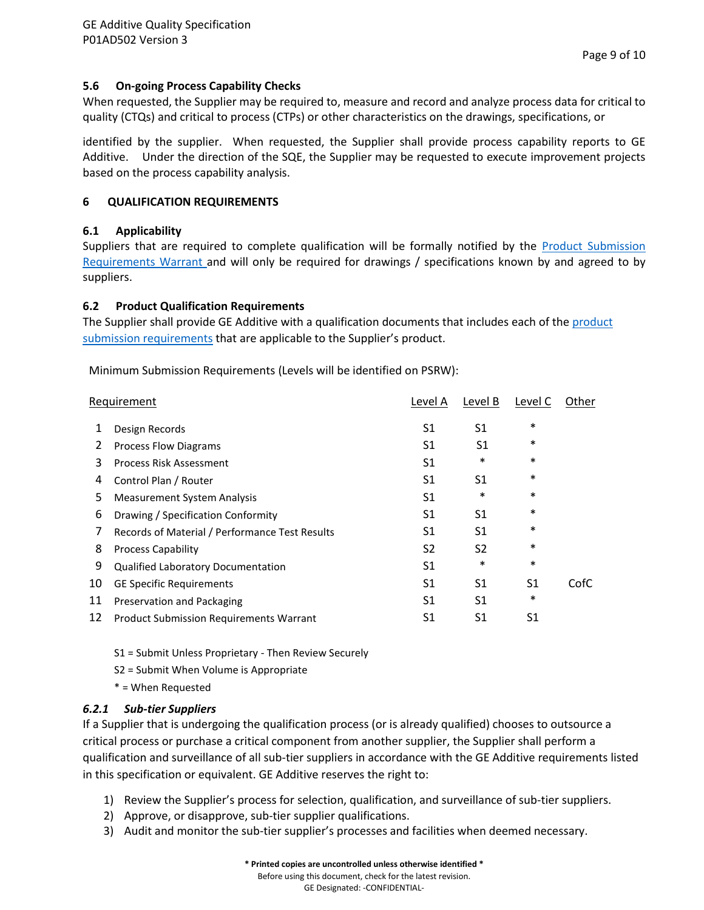#### <span id="page-8-0"></span>**5.6 On-going Process Capability Checks**

When requested, the Supplier may be required to, measure and record and analyze process data for critical to quality (CTQs) and critical to process (CTPs) or other characteristics on the drawings, specifications, or

identified by the supplier. When requested, the Supplier shall provide process capability reports to GE Additive. Under the direction of the SQE, the Supplier may be requested to execute improvement projects based on the process capability analysis.

#### <span id="page-8-1"></span>**6 QUALIFICATION REQUIREMENTS**

#### <span id="page-8-2"></span>**6.1 Applicability**

Suppliers that are required to complete qualification will be formally notified by the **Product Submission** [Requirements Warrant](https://www.ge.com/additive/sites/default/files/2022-05/Product%20Submission%20Requirements%20Warrant.pdf) and will only be required for drawings / specifications known by and agreed to by suppliers.

#### **6.2 Product Qualification Requirements**

The Supplier shall provide GE Additive with a qualification documents that includes each of the [product](https://www.ge.com/additive/sites/default/files/2022-05/Product%20Qualification%20Requirements.pdf)  [submission requirements](https://www.ge.com/additive/sites/default/files/2022-05/Product%20Qualification%20Requirements.pdf) that are applicable to the Supplier's product.

Minimum Submission Requirements (Levels will be identified on PSRW):

| Requirement |                                                |                | Level B        | Level C | Other |
|-------------|------------------------------------------------|----------------|----------------|---------|-------|
| 1           | Design Records                                 | S1             | S1             | $\ast$  |       |
| 2           | <b>Process Flow Diagrams</b>                   | S1             | S1             | $\ast$  |       |
| 3           | Process Risk Assessment                        | S1             | *              | $\ast$  |       |
| 4           | Control Plan / Router                          | S1             | S1             | $\ast$  |       |
| 5           | <b>Measurement System Analysis</b>             | S1             | $\ast$         | $\ast$  |       |
| 6           | Drawing / Specification Conformity             | S1             | S1             | $\ast$  |       |
| 7           | Records of Material / Performance Test Results | S1             | S1             | $\ast$  |       |
| 8           | <b>Process Capability</b>                      | S <sub>2</sub> | S <sub>2</sub> | $\ast$  |       |
| 9           | <b>Qualified Laboratory Documentation</b>      | S1             | $\ast$         | $\ast$  |       |
| 10          | <b>GE Specific Requirements</b>                | S1             | S1             | S1      | CofC  |
| 11          | Preservation and Packaging                     | S1             | S1             | $\ast$  |       |
| 12          | <b>Product Submission Requirements Warrant</b> | S1             | S1             | S1      |       |
|             |                                                |                |                |         |       |

S1 = Submit Unless Proprietary - Then Review Securely

S2 = Submit When Volume is Appropriate

\* = When Requested

#### <span id="page-8-3"></span>*6.2.1 Sub-tier Suppliers*

If a Supplier that is undergoing the qualification process (or is already qualified) chooses to outsource a critical process or purchase a critical component from another supplier, the Supplier shall perform a qualification and surveillance of all sub-tier suppliers in accordance with the GE Additive requirements listed in this specification or equivalent. GE Additive reserves the right to:

- 1) Review the Supplier's process for selection, qualification, and surveillance of sub-tier suppliers.
- 2) Approve, or disapprove, sub-tier supplier qualifications.
- 3) Audit and monitor the sub-tier supplier's processes and facilities when deemed necessary.